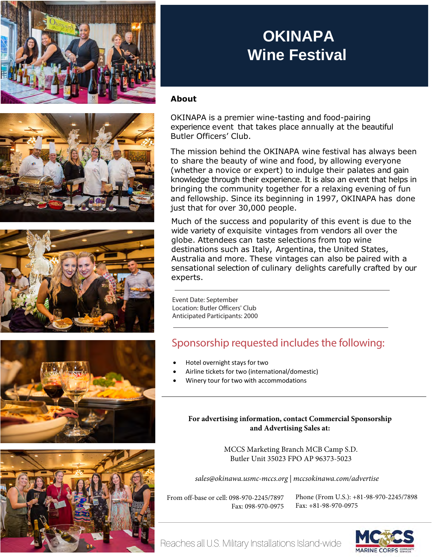

## **OKINAPA Wine Festival**

## **About**

OKINAPA is a premier wine-tasting and food-pairing experience event that takes place annually at the beautiful Butler Officers' Club.

The mission behind the OKINAPA wine festival has always been to share the beauty of wine and food, by allowing everyone (whether a novice or expert) to indulge their palates and gain knowledge through their experience. It is also an event that helps in bringing the community together for a relaxing evening of fun and fellowship. Since its beginning in 1997, OKINAPA has done just that for over 30,000 people.

Much of the success and popularity of this event is due to the wide variety of exquisite vintages from vendors all over the globe. Attendees can taste selections from top wine destinations such as Italy, Argentina, the United States, Australia and more. These vintages can also be paired with a sensational selection of culinary delights carefully crafted by our experts.

Event Date: September Location: Butler Officers' Club Anticipated Participants: 2000

## Sponsorship requested includes the following:

- Hotel overnight stays for two
- Airline tickets for two (international/domestic)
- Winery tour for two with accommodations

**For advertising information, contact Commercial Sponsorship and Advertising Sales at:**

> MCCS Marketing Branch MCB Camp S.D. Butler Unit 35023 FPO AP 96373-5023

*sales@okinawa.usmc-mccs.org | mccsokinawa.com/advertise*

From off-base or cell: 098-970-2245/7897 Fax: 098-970-0975 Phone (From U.S.): +81-98-970-2245/7898 Fax: +81-98-970-0975